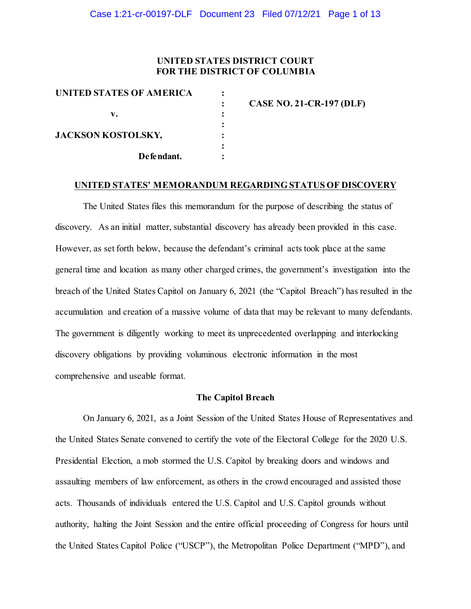### **UNITED STATES DISTRICT COURT FOR THE DISTRICT OF COLUMBIA**

| <b>UNITED STATES OF AMERICA</b> |                                 |
|---------------------------------|---------------------------------|
|                                 | <b>CASE NO. 21-CR-197 (DLF)</b> |
| v.                              |                                 |
|                                 |                                 |
| <b>JACKSON KOSTOLSKY,</b>       |                                 |
|                                 |                                 |
| De fe ndant.                    |                                 |
|                                 |                                 |

#### **UNITED STATES' MEMORANDUM REGARDING STATUS OF DISCOVERY**

The United States files this memorandum for the purpose of describing the status of discovery. As an initial matter, substantial discovery has already been provided in this case. However, as set forth below, because the defendant's criminal acts took place at the same general time and location as many other charged crimes, the government's investigation into the breach of the United States Capitol on January 6, 2021 (the "Capitol Breach") has resulted in the accumulation and creation of a massive volume of data that may be relevant to many defendants. The government is diligently working to meet its unprecedented overlapping and interlocking discovery obligations by providing voluminous electronic information in the most comprehensive and useable format.

### **The Capitol Breach**

On January 6, 2021, as a Joint Session of the United States House of Representatives and the United States Senate convened to certify the vote of the Electoral College for the 2020 U.S. Presidential Election, a mob stormed the U.S. Capitol by breaking doors and windows and assaulting members of law enforcement, as others in the crowd encouraged and assisted those acts. Thousands of individuals entered the U.S. Capitol and U.S. Capitol grounds without authority, halting the Joint Session and the entire official proceeding of Congress for hours until the United States Capitol Police ("USCP"), the Metropolitan Police Department ("MPD"), and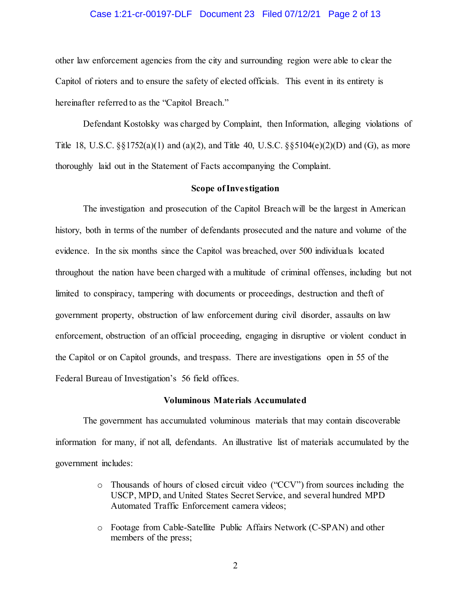### Case 1:21-cr-00197-DLF Document 23 Filed 07/12/21 Page 2 of 13

other law enforcement agencies from the city and surrounding region were able to clear the Capitol of rioters and to ensure the safety of elected officials. This event in its entirety is hereinafter referred to as the "Capitol Breach."

Defendant Kostolsky was charged by Complaint, then Information, alleging violations of Title 18, U.S.C.  $\S$ [\statifurnational 13(a)(2), and Title 40, U.S.C.  $\S$ [\statifurnational 13(G), as more thoroughly laid out in the Statement of Facts accompanying the Complaint.

### **Scope of Investigation**

The investigation and prosecution of the Capitol Breach will be the largest in American history, both in terms of the number of defendants prosecuted and the nature and volume of the evidence. In the six months since the Capitol was breached, over 500 individuals located throughout the nation have been charged with a multitude of criminal offenses, including but not limited to conspiracy, tampering with documents or proceedings, destruction and theft of government property, obstruction of law enforcement during civil disorder, assaults on law enforcement, obstruction of an official proceeding, engaging in disruptive or violent conduct in the Capitol or on Capitol grounds, and trespass. There are investigations open in 55 of the Federal Bureau of Investigation's 56 field offices.

#### **Voluminous Materials Accumulated**

The government has accumulated voluminous materials that may contain discoverable information for many, if not all, defendants. An illustrative list of materials accumulated by the government includes:

- o Thousands of hours of closed circuit video ("CCV") from sources including the USCP, MPD, and United States Secret Service, and several hundred MPD Automated Traffic Enforcement camera videos;
- o Footage from Cable-Satellite Public Affairs Network (C-SPAN) and other members of the press;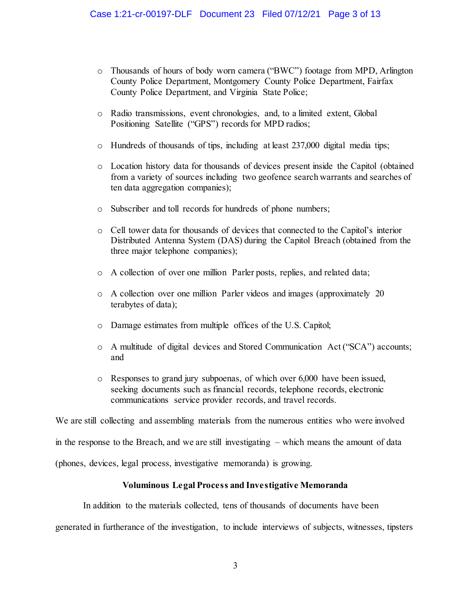- o Thousands of hours of body worn camera ("BWC") footage from MPD, Arlington County Police Department, Montgomery County Police Department, Fairfax County Police Department, and Virginia State Police;
- o Radio transmissions, event chronologies, and, to a limited extent, Global Positioning Satellite ("GPS") records for MPD radios;
- o Hundreds of thousands of tips, including at least 237,000 digital media tips;
- o Location history data for thousands of devices present inside the Capitol (obtained from a variety of sources including two geofence search warrants and searches of ten data aggregation companies);
- o Subscriber and toll records for hundreds of phone numbers;
- o Cell tower data for thousands of devices that connected to the Capitol's interior Distributed Antenna System (DAS) during the Capitol Breach (obtained from the three major telephone companies);
- o A collection of over one million Parler posts, replies, and related data;
- o A collection over one million Parler videos and images (approximately 20 terabytes of data);
- o Damage estimates from multiple offices of the U.S. Capitol;
- o A multitude of digital devices and Stored Communication Act ("SCA") accounts; and
- o Responses to grand jury subpoenas, of which over 6,000 have been issued, seeking documents such as financial records, telephone records, electronic communications service provider records, and travel records.

We are still collecting and assembling materials from the numerous entities who were involved

in the response to the Breach, and we are still investigating – which means the amount of data

(phones, devices, legal process, investigative memoranda) is growing.

### **Voluminous Legal Process and Investigative Memoranda**

In addition to the materials collected, tens of thousands of documents have been

generated in furtherance of the investigation, to include interviews of subjects, witnesses, tipsters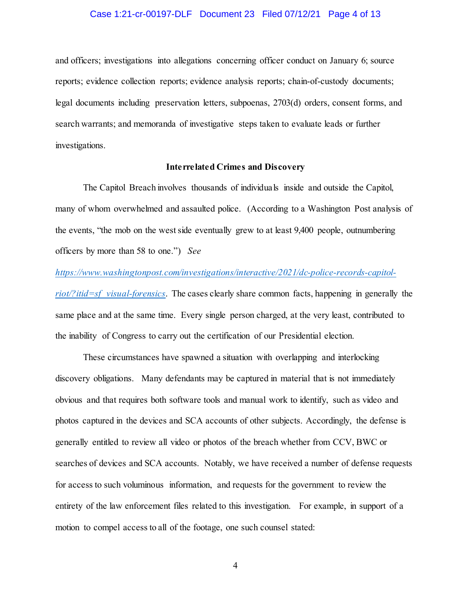### Case 1:21-cr-00197-DLF Document 23 Filed 07/12/21 Page 4 of 13

and officers; investigations into allegations concerning officer conduct on January 6; source reports; evidence collection reports; evidence analysis reports; chain-of-custody documents; legal documents including preservation letters, subpoenas, 2703(d) orders, consent forms, and search warrants; and memoranda of investigative steps taken to evaluate leads or further investigations.

### **Interrelated Crimes and Discovery**

The Capitol Breach involves thousands of individuals inside and outside the Capitol, many of whom overwhelmed and assaulted police. (According to a Washington Post analysis of the events, "the mob on the west side eventually grew to at least 9,400 people, outnumbering officers by more than 58 to one.") *See* 

### *https://www.washingtonpost.com/investigations/interactive/2021/dc-police-records-capitol-*

*riot/?itid=sf\_visual-forensics*. The cases clearly share common facts, happening in generally the same place and at the same time. Every single person charged, at the very least, contributed to the inability of Congress to carry out the certification of our Presidential election.

These circumstances have spawned a situation with overlapping and interlocking discovery obligations. Many defendants may be captured in material that is not immediately obvious and that requires both software tools and manual work to identify, such as video and photos captured in the devices and SCA accounts of other subjects. Accordingly, the defense is generally entitled to review all video or photos of the breach whether from CCV, BWC or searches of devices and SCA accounts. Notably, we have received a number of defense requests for access to such voluminous information, and requests for the government to review the entirety of the law enforcement files related to this investigation. For example, in support of a motion to compel access to all of the footage, one such counsel stated: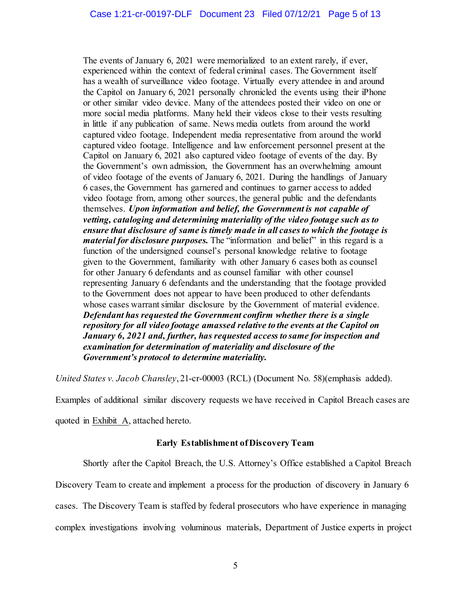The events of January 6, 2021 were memorialized to an extent rarely, if ever, experienced within the context of federal criminal cases. The Government itself has a wealth of surveillance video footage. Virtually every attendee in and around the Capitol on January 6, 2021 personally chronicled the events using their iPhone or other similar video device. Many of the attendees posted their video on one or more social media platforms. Many held their videos close to their vests resulting in little if any publication of same. News media outlets from around the world captured video footage. Independent media representative from around the world captured video footage. Intelligence and law enforcement personnel present at the Capitol on January 6, 2021 also captured video footage of events of the day. By the Government's own admission, the Government has an overwhelming amount of video footage of the events of January 6, 2021. During the handlings of January 6 cases, the Government has garnered and continues to garner access to added video footage from, among other sources, the general public and the defendants themselves. *Upon information and belief, the Government is not capable of vetting, cataloging and determining materiality of the video footage such as to ensure that disclosure of same is timely made in all cases to which the footage is material for disclosure purposes.* The "information and belief" in this regard is a function of the undersigned counsel's personal knowledge relative to footage given to the Government, familiarity with other January 6 cases both as counsel for other January 6 defendants and as counsel familiar with other counsel representing January 6 defendants and the understanding that the footage provided to the Government does not appear to have been produced to other defendants whose cases warrant similar disclosure by the Government of material evidence. *Defendant has requested the Government confirm whether there is a single repository for all video footage amassed relative to the events at the Capitol on January 6, 2021 and, further, has requested access to same for inspection and examination for determination of materiality and disclosure of the Government's protocol to determine materiality.*

*United States v. Jacob Chansley*, 21-cr-00003 (RCL) (Document No. 58)(emphasis added).

Examples of additional similar discovery requests we have received in Capitol Breach cases are

quoted in Exhibit A, attached hereto.

### **Early Establishment of Discovery Team**

Shortly after the Capitol Breach, the U.S. Attorney's Office established a Capitol Breach

Discovery Team to create and implement a process for the production of discovery in January 6

cases. The Discovery Team is staffed by federal prosecutors who have experience in managing

complex investigations involving voluminous materials, Department of Justice experts in project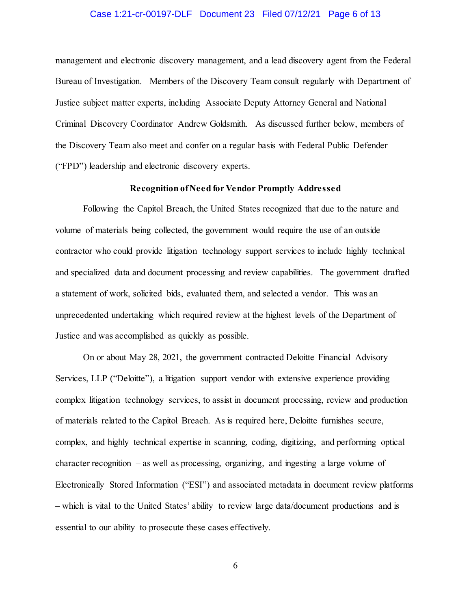### Case 1:21-cr-00197-DLF Document 23 Filed 07/12/21 Page 6 of 13

management and electronic discovery management, and a lead discovery agent from the Federal Bureau of Investigation. Members of the Discovery Team consult regularly with Department of Justice subject matter experts, including Associate Deputy Attorney General and National Criminal Discovery Coordinator Andrew Goldsmith. As discussed further below, members of the Discovery Team also meet and confer on a regular basis with Federal Public Defender ("FPD") leadership and electronic discovery experts.

### **Recognition of Need for Vendor Promptly Addressed**

Following the Capitol Breach, the United States recognized that due to the nature and volume of materials being collected, the government would require the use of an outside contractor who could provide litigation technology support services to include highly technical and specialized data and document processing and review capabilities. The government drafted a statement of work, solicited bids, evaluated them, and selected a vendor. This was an unprecedented undertaking which required review at the highest levels of the Department of Justice and was accomplished as quickly as possible.

On or about May 28, 2021, the government contracted Deloitte Financial Advisory Services, LLP ("Deloitte"), a litigation support vendor with extensive experience providing complex litigation technology services, to assist in document processing, review and production of materials related to the Capitol Breach. As is required here, Deloitte furnishes secure, complex, and highly technical expertise in scanning, coding, digitizing, and performing optical character recognition – as well as processing, organizing, and ingesting a large volume of Electronically Stored Information ("ESI") and associated metadata in document review platforms – which is vital to the United States' ability to review large data/document productions and is essential to our ability to prosecute these cases effectively.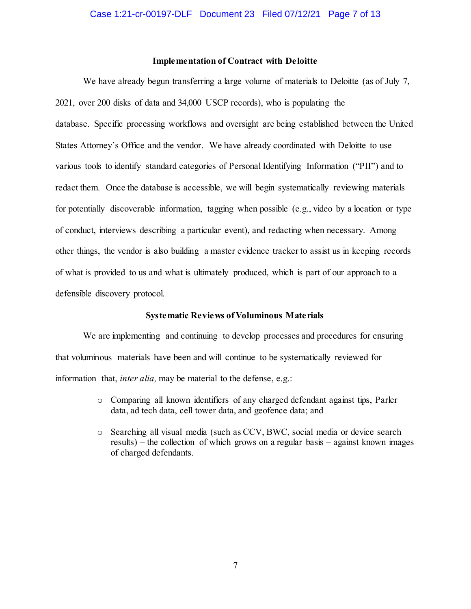### **Implementation of Contract with Deloitte**

We have already begun transferring a large volume of materials to Deloitte (as of July 7, 2021, over 200 disks of data and 34,000 USCP records), who is populating the database. Specific processing workflows and oversight are being established between the United States Attorney's Office and the vendor. We have already coordinated with Deloitte to use various tools to identify standard categories of Personal Identifying Information ("PII") and to redact them. Once the database is accessible, we will begin systematically reviewing materials for potentially discoverable information, tagging when possible (e.g., video by a location or type of conduct, interviews describing a particular event), and redacting when necessary. Among other things, the vendor is also building a master evidence tracker to assist us in keeping records of what is provided to us and what is ultimately produced, which is part of our approach to a defensible discovery protocol.

#### **Systematic Reviews of Voluminous Materials**

We are implementing and continuing to develop processes and procedures for ensuring that voluminous materials have been and will continue to be systematically reviewed for information that, *inter alia,* may be material to the defense, e.g.:

- o Comparing all known identifiers of any charged defendant against tips, Parler data, ad tech data, cell tower data, and geofence data; and
- o Searching all visual media (such as CCV, BWC, social media or device search results) – the collection of which grows on a regular basis – against known images of charged defendants.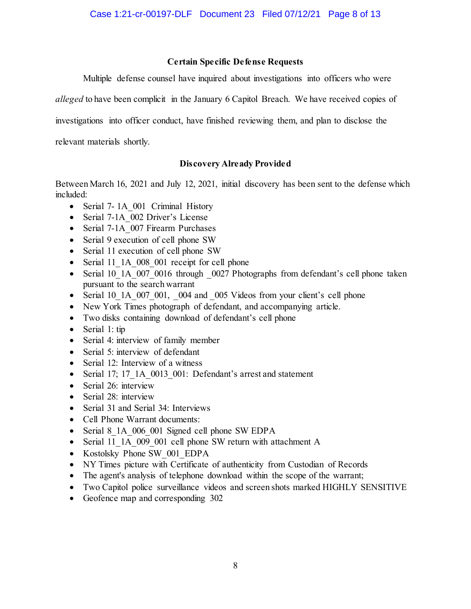### **Certain Specific Defense Requests**

Multiple defense counsel have inquired about investigations into officers who were

*alleged* to have been complicit in the January 6 Capitol Breach. We have received copies of

investigations into officer conduct, have finished reviewing them, and plan to disclose the

relevant materials shortly.

### **Discovery Already Provided**

Between March 16, 2021 and July 12, 2021, initial discovery has been sent to the defense which included:

- Serial 7-1A 001 Criminal History
- Serial 7-1A 002 Driver's License
- Serial 7-1A 007 Firearm Purchases
- Serial 9 execution of cell phone SW
- Serial 11 execution of cell phone SW
- Serial 11\_1A\_008\_001 receipt for cell phone
- Serial 10\_1A\_007\_0016 through \_0027 Photographs from defendant's cell phone taken pursuant to the search warrant
- Serial 10 1A 007 001, 004 and 005 Videos from your client's cell phone
- New York Times photograph of defendant, and accompanying article.
- Two disks containing download of defendant's cell phone
- Serial 1: tip
- Serial 4: interview of family member
- Serial 5: interview of defendant
- Serial 12: Interview of a witness
- Serial 17; 17\_1A\_0013\_001: Defendant's arrest and statement
- Serial 26: interview
- Serial 28: interview
- Serial 31 and Serial 34: Interviews
- Cell Phone Warrant documents:
- Serial 8 1A 006 001 Signed cell phone SW EDPA
- Serial 11\_1A\_009\_001 cell phone SW return with attachment A
- Kostolsky Phone SW\_001\_EDPA
- NY Times picture with Certificate of authenticity from Custodian of Records
- The agent's analysis of telephone download within the scope of the warrant;
- Two Capitol police surveillance videos and screen shots marked HIGHLY SENSITIVE
- Geofence map and corresponding 302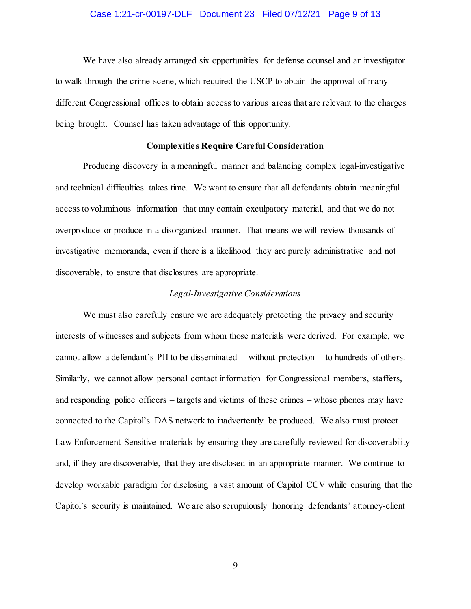### Case 1:21-cr-00197-DLF Document 23 Filed 07/12/21 Page 9 of 13

We have also already arranged six opportunities for defense counsel and an investigator to walk through the crime scene, which required the USCP to obtain the approval of many different Congressional offices to obtain access to various areas that are relevant to the charges being brought. Counsel has taken advantage of this opportunity.

### **Complexities Require Careful Consideration**

Producing discovery in a meaningful manner and balancing complex legal-investigative and technical difficulties takes time. We want to ensure that all defendants obtain meaningful access to voluminous information that may contain exculpatory material, and that we do not overproduce or produce in a disorganized manner. That means we will review thousands of investigative memoranda, even if there is a likelihood they are purely administrative and not discoverable, to ensure that disclosures are appropriate.

### *Legal-Investigative Considerations*

We must also carefully ensure we are adequately protecting the privacy and security interests of witnesses and subjects from whom those materials were derived. For example, we cannot allow a defendant's PII to be disseminated – without protection – to hundreds of others. Similarly, we cannot allow personal contact information for Congressional members, staffers, and responding police officers – targets and victims of these crimes – whose phones may have connected to the Capitol's DAS network to inadvertently be produced. We also must protect Law Enforcement Sensitive materials by ensuring they are carefully reviewed for discoverability and, if they are discoverable, that they are disclosed in an appropriate manner. We continue to develop workable paradigm for disclosing a vast amount of Capitol CCV while ensuring that the Capitol's security is maintained. We are also scrupulously honoring defendants' attorney-client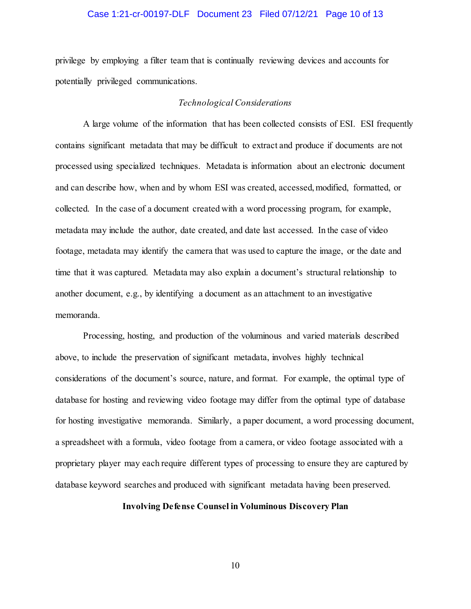### Case 1:21-cr-00197-DLF Document 23 Filed 07/12/21 Page 10 of 13

privilege by employing a filter team that is continually reviewing devices and accounts for potentially privileged communications.

### *Technological Considerations*

A large volume of the information that has been collected consists of ESI. ESI frequently contains significant metadata that may be difficult to extract and produce if documents are not processed using specialized techniques. Metadata is information about an electronic document and can describe how, when and by whom ESI was created, accessed, modified, formatted, or collected. In the case of a document created with a word processing program, for example, metadata may include the author, date created, and date last accessed. In the case of video footage, metadata may identify the camera that was used to capture the image, or the date and time that it was captured. Metadata may also explain a document's structural relationship to another document, e.g., by identifying a document as an attachment to an investigative memoranda.

Processing, hosting, and production of the voluminous and varied materials described above, to include the preservation of significant metadata, involves highly technical considerations of the document's source, nature, and format. For example, the optimal type of database for hosting and reviewing video footage may differ from the optimal type of database for hosting investigative memoranda. Similarly, a paper document, a word processing document, a spreadsheet with a formula, video footage from a camera, or video footage associated with a proprietary player may each require different types of processing to ensure they are captured by database keyword searches and produced with significant metadata having been preserved.

### **Involving Defense Counsel in Voluminous Discovery Plan**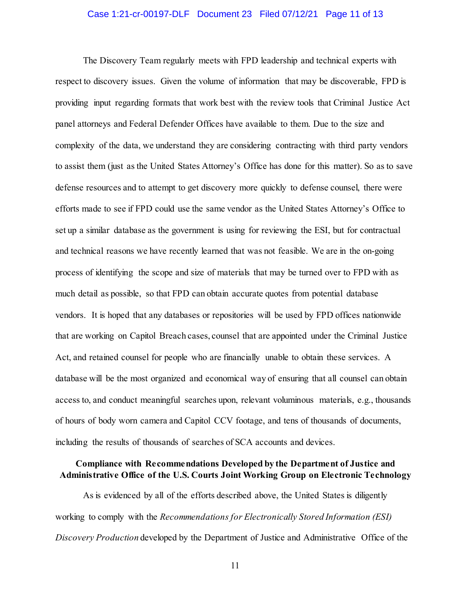### Case 1:21-cr-00197-DLF Document 23 Filed 07/12/21 Page 11 of 13

The Discovery Team regularly meets with FPD leadership and technical experts with respect to discovery issues. Given the volume of information that may be discoverable, FPD is providing input regarding formats that work best with the review tools that Criminal Justice Act panel attorneys and Federal Defender Offices have available to them. Due to the size and complexity of the data, we understand they are considering contracting with third party vendors to assist them (just as the United States Attorney's Office has done for this matter). So as to save defense resources and to attempt to get discovery more quickly to defense counsel, there were efforts made to see if FPD could use the same vendor as the United States Attorney's Office to set up a similar database as the government is using for reviewing the ESI, but for contractual and technical reasons we have recently learned that was not feasible. We are in the on-going process of identifying the scope and size of materials that may be turned over to FPD with as much detail as possible, so that FPD can obtain accurate quotes from potential database vendors. It is hoped that any databases or repositories will be used by FPD offices nationwide that are working on Capitol Breach cases, counsel that are appointed under the Criminal Justice Act, and retained counsel for people who are financially unable to obtain these services. A database will be the most organized and economical way of ensuring that all counsel can obtain access to, and conduct meaningful searches upon, relevant voluminous materials, e.g., thousands of hours of body worn camera and Capitol CCV footage, and tens of thousands of documents, including the results of thousands of searches of SCA accounts and devices.

### **Compliance with Recommendations Developed by the Department of Justice and Administrative Office of the U.S. Courts Joint Working Group on Electronic Technology**

As is evidenced by all of the efforts described above, the United States is diligently working to comply with the *Recommendations for Electronically Stored Information (ESI) Discovery Production* developed by the Department of Justice and Administrative Office of the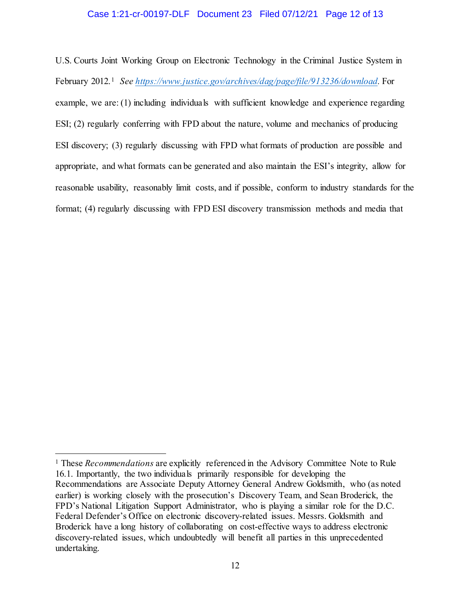### Case 1:21-cr-00197-DLF Document 23 Filed 07/12/21 Page 12 of 13

U.S. Courts Joint Working Group on Electronic Technology in the Criminal Justice System in February 2012.1 *See https://www.justice.gov/archives/dag/page/file/913236/download.* For example, we are: (1) including individuals with sufficient knowledge and experience regarding ESI; (2) regularly conferring with FPD about the nature, volume and mechanics of producing ESI discovery; (3) regularly discussing with FPD what formats of production are possible and appropriate, and what formats can be generated and also maintain the ESI's integrity, allow for reasonable usability, reasonably limit costs, and if possible, conform to industry standards for the format; (4) regularly discussing with FPD ESI discovery transmission methods and media that

l

<sup>1</sup> These *Recommendations* are explicitly referenced in the Advisory Committee Note to Rule 16.1. Importantly, the two individuals primarily responsible for developing the Recommendations are Associate Deputy Attorney General Andrew Goldsmith, who (as noted earlier) is working closely with the prosecution's Discovery Team, and Sean Broderick, the FPD's National Litigation Support Administrator, who is playing a similar role for the D.C. Federal Defender's Office on electronic discovery-related issues. Messrs. Goldsmith and Broderick have a long history of collaborating on cost-effective ways to address electronic discovery-related issues, which undoubtedly will benefit all parties in this unprecedented undertaking.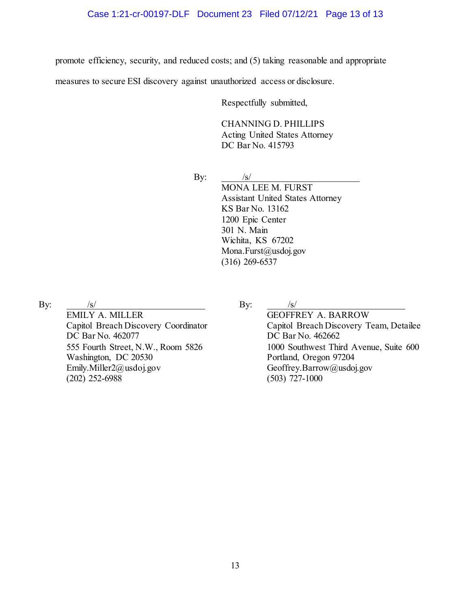promote efficiency, security, and reduced costs; and (5) taking reasonable and appropriate

measures to secure ESI discovery against unauthorized access or disclosure.

Respectfully submitted,

CHANNING D. PHILLIPS

Acting United States Attorney DC Bar No. 415793

By:  $\frac{1}{s}$  /s/ MONA LEE M. FURST Assistant United States Attorney KS Bar No. 13162 1200 Epic Center 301 N. Main Wichita, KS 67202 Mona.Furst@usdoj.gov (316) 269-6537

By:  $/s/$ 

EMILY A. MILLER Capitol Breach Discovery Coordinator DC Bar No. 462077 555 Fourth Street, N.W., Room 5826 Washington, DC 20530 Emily.Miller2@usdoj.gov  $(202)$  252-6988

By:  $/s/$ 

GEOFFREY A. BARROW Capitol Breach Discovery Team, Detailee DC Bar No. 462662 1000 Southwest Third Avenue, Suite 600 Portland, Oregon 97204 Geoffrey.Barrow@usdoj.gov (503) 727-1000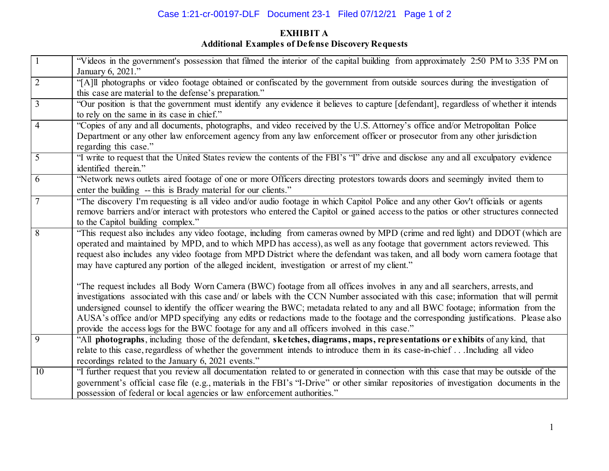# Case 1:21-cr-00197-DLF Document 23-1 Filed 07/12/21 Page 1 of 2

# **EXHIBIT A Additional Examples of Defense Discovery Requests**

| $\boxed{1}$    | "Videos in the government's possession that filmed the interior of the capital building from approximately 2:50 PM to 3:35 PM on<br>January 6, 2021."                                                                                                                                                                                                                                                                                                                                                                                                                                                                                   |
|----------------|-----------------------------------------------------------------------------------------------------------------------------------------------------------------------------------------------------------------------------------------------------------------------------------------------------------------------------------------------------------------------------------------------------------------------------------------------------------------------------------------------------------------------------------------------------------------------------------------------------------------------------------------|
| $\overline{2}$ | "[A]ll photographs or video footage obtained or confiscated by the government from outside sources during the investigation of<br>this case are material to the defense's preparation."                                                                                                                                                                                                                                                                                                                                                                                                                                                 |
| $\overline{3}$ | "Our position is that the government must identify any evidence it believes to capture [defendant], regardless of whether it intends<br>to rely on the same in its case in chief."                                                                                                                                                                                                                                                                                                                                                                                                                                                      |
| $\overline{4}$ | "Copies of any and all documents, photographs, and video received by the U.S. Attorney's office and/or Metropolitan Police<br>Department or any other law enforcement agency from any law enforcement officer or prosecutor from any other jurisdiction<br>regarding this case."                                                                                                                                                                                                                                                                                                                                                        |
| $\overline{5}$ | "I write to request that the United States review the contents of the FBI's "I" drive and disclose any and all exculpatory evidence<br>identified therein."                                                                                                                                                                                                                                                                                                                                                                                                                                                                             |
| 6              | "Network news outlets aired footage of one or more Officers directing protestors towards doors and seemingly invited them to<br>enter the building -- this is Brady material for our clients."                                                                                                                                                                                                                                                                                                                                                                                                                                          |
| 7              | "The discovery I'm requesting is all video and/or audio footage in which Capitol Police and any other Gov't officials or agents<br>remove barriers and/or interact with protestors who entered the Capitol or gained access to the patios or other structures connected<br>to the Capitol building complex."                                                                                                                                                                                                                                                                                                                            |
| $\overline{8}$ | "This request also includes any video footage, including from cameras owned by MPD (crime and red light) and DDOT (which are<br>operated and maintained by MPD, and to which MPD has access), as well as any footage that government actors reviewed. This<br>request also includes any video footage from MPD District where the defendant was taken, and all body worn camera footage that<br>may have captured any portion of the alleged incident, investigation or arrest of my client."                                                                                                                                           |
|                | "The request includes all Body Worn Camera (BWC) footage from all offices involves in any and all searchers, arrests, and<br>investigations associated with this case and/ or labels with the CCN Number associated with this case; information that will permit<br>undersigned counsel to identify the officer wearing the BWC; metadata related to any and all BWC footage; information from the<br>AUSA's office and/or MPD specifying any edits or redactions made to the footage and the corresponding justifications. Please also<br>provide the access logs for the BWC footage for any and all officers involved in this case." |
| 9              | "All photographs, including those of the defendant, sketches, diagrams, maps, representations or exhibits of any kind, that<br>relate to this case, regardless of whether the government intends to introduce them in its case-in-chief  Including all video<br>recordings related to the January 6, 2021 events."                                                                                                                                                                                                                                                                                                                      |
| 10             | "I further request that you review all documentation related to or generated in connection with this case that may be outside of the<br>government's official case file (e.g., materials in the FBI's "I-Drive" or other similar repositories of investigation documents in the<br>possession of federal or local agencies or law enforcement authorities."                                                                                                                                                                                                                                                                             |